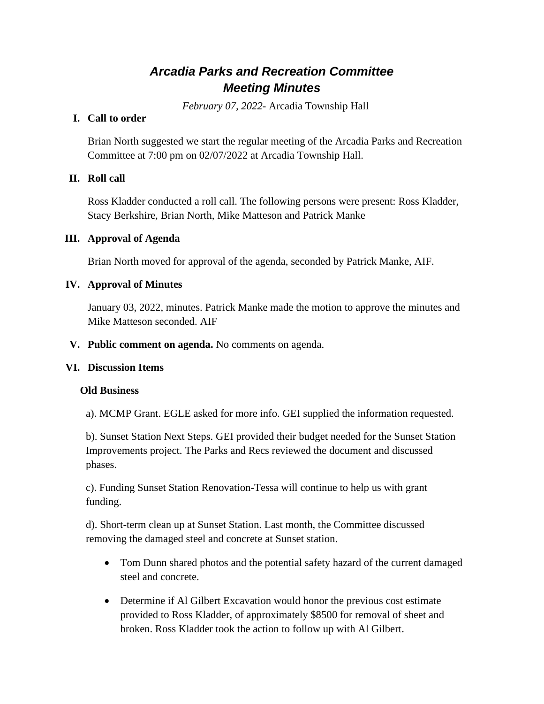# *Arcadia Parks and Recreation Committee Meeting Minutes*

*February 07, 2022*- Arcadia Township Hall

# **I. Call to order**

Brian North suggested we start the regular meeting of the Arcadia Parks and Recreation Committee at 7:00 pm on 02/07/2022 at Arcadia Township Hall.

# **II. Roll call**

Ross Kladder conducted a roll call. The following persons were present: Ross Kladder, Stacy Berkshire, Brian North, Mike Matteson and Patrick Manke

## **III. Approval of Agenda**

Brian North moved for approval of the agenda, seconded by Patrick Manke, AIF.

## **IV. Approval of Minutes**

January 03, 2022, minutes. Patrick Manke made the motion to approve the minutes and Mike Matteson seconded. AIF

## **V. Public comment on agenda.** No comments on agenda.

#### **VI. Discussion Items**

#### **Old Business**

a). MCMP Grant. EGLE asked for more info. GEI supplied the information requested.

b). Sunset Station Next Steps. GEI provided their budget needed for the Sunset Station Improvements project. The Parks and Recs reviewed the document and discussed phases.

c). Funding Sunset Station Renovation-Tessa will continue to help us with grant funding.

d). Short-term clean up at Sunset Station. Last month, the Committee discussed removing the damaged steel and concrete at Sunset station.

- Tom Dunn shared photos and the potential safety hazard of the current damaged steel and concrete.
- Determine if Al Gilbert Excavation would honor the previous cost estimate provided to Ross Kladder, of approximately \$8500 for removal of sheet and broken. Ross Kladder took the action to follow up with Al Gilbert.